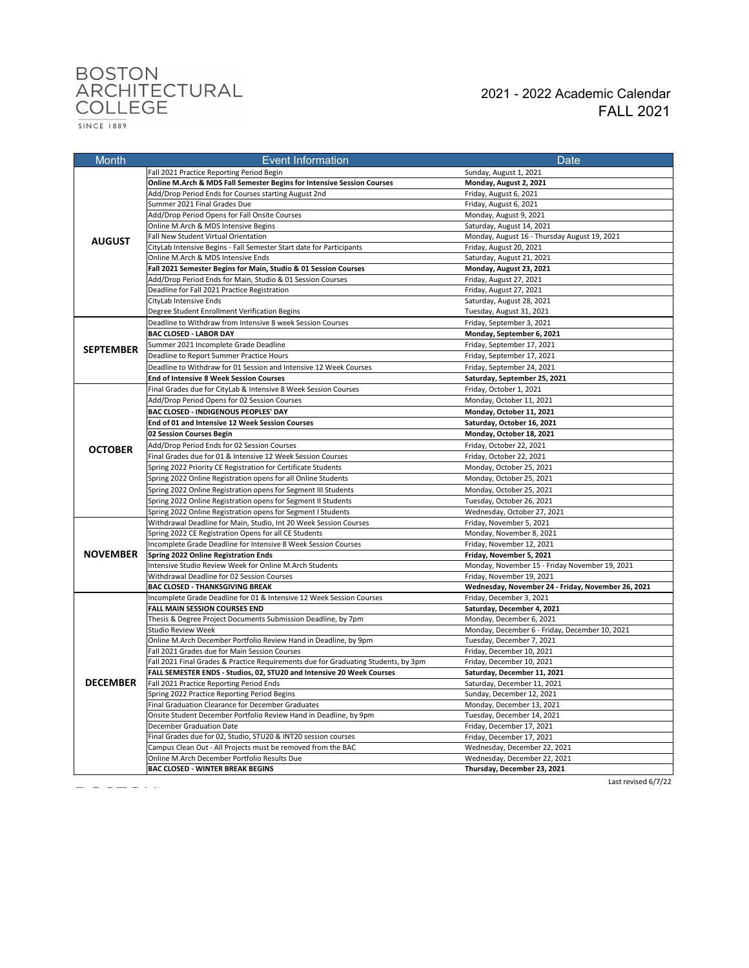# BOSTON<br>ARCHITECTURAL<br>COLLEGE

FALL 2021 2021 - 2022 Academic Calendar

 $\frac{}{\text{SINCE} 1889}$ 

| Month            | Event Information                                                                               | Date                                                                        |
|------------------|-------------------------------------------------------------------------------------------------|-----------------------------------------------------------------------------|
|                  | Fall 2021 Practice Reporting Period Begin                                                       | Sunday, August 1, 2021                                                      |
|                  | Online M.Arch & MDS Fall Semester Begins for Intensive Session Courses                          | Monday, August 2, 2021                                                      |
|                  | Add/Drop Period Ends for Courses starting August 2nd                                            | Friday, August 6, 2021                                                      |
|                  | Summer 2021 Final Grades Due                                                                    | Friday, August 6, 2021                                                      |
|                  | Add/Drop Period Opens for Fall Onsite Courses                                                   | Monday, August 9, 2021                                                      |
|                  | Online M.Arch & MDS Intensive Begins                                                            | Saturday, August 14, 2021                                                   |
| <b>AUGUST</b>    | Fall New Student Virtual Orientation                                                            | Monday, August 16 - Thursday August 19, 2021                                |
|                  | CityLab Intensive Begins - Fall Semester Start date for Participants                            | Friday, August 20, 2021                                                     |
|                  | Online M.Arch & MDS Intensive Ends                                                              | Saturday, August 21, 2021                                                   |
|                  | Fall 2021 Semester Begins for Main, Studio & 01 Session Courses                                 | Monday, August 23, 2021                                                     |
|                  | Add/Drop Period Ends for Main, Studio & 01 Session Courses                                      | Friday, August 27, 2021                                                     |
|                  | Deadline for Fall 2021 Practice Registration                                                    | Friday, August 27, 2021                                                     |
|                  | CityLab Intensive Ends                                                                          | Saturday, August 28, 2021                                                   |
|                  | Degree Student Enrollment Verification Begins                                                   | Tuesday, August 31, 2021                                                    |
|                  | Deadline to Withdraw from Intensive 8 week Session Courses                                      | Friday, September 3, 2021                                                   |
|                  | <b>BAC CLOSED - LABOR DAY</b>                                                                   | Monday, September 6, 2021                                                   |
|                  | Summer 2021 Incomplete Grade Deadline                                                           | Friday, September 17, 2021                                                  |
| <b>SEPTEMBER</b> | Deadline to Report Summer Practice Hours                                                        | Friday, September 17, 2021                                                  |
|                  | Deadline to Withdraw for 01 Session and Intensive 12 Week Courses                               | Friday, September 24, 2021                                                  |
|                  | End of Intensive 8 Week Session Courses                                                         | Saturday, September 25, 2021                                                |
|                  | Final Grades due for CityLab & Intensive 8 Week Session Courses                                 | Friday, October 1, 2021                                                     |
|                  | Add/Drop Period Opens for 02 Session Courses                                                    | Monday, October 11, 2021                                                    |
|                  | BAC CLOSED - INDIGENOUS PEOPLES' DAY                                                            | Monday, October 11, 2021                                                    |
|                  | End of 01 and Intensive 12 Week Session Courses                                                 | Saturday, October 16, 2021                                                  |
|                  | 02 Session Courses Begin                                                                        | Monday, October 18, 2021                                                    |
|                  | Add/Drop Period Ends for 02 Session Courses                                                     | Friday, October 22, 2021                                                    |
| <b>OCTOBER</b>   | Final Grades due for 01 & Intensive 12 Week Session Courses                                     | Friday, October 22, 2021                                                    |
|                  | Spring 2022 Priority CE Registration for Certificate Students                                   | Monday, October 25, 2021                                                    |
|                  |                                                                                                 |                                                                             |
|                  | Spring 2022 Online Registration opens for all Online Students                                   | Monday, October 25, 2021                                                    |
|                  | Spring 2022 Online Registration opens for Segment III Students                                  | Monday, October 25, 2021                                                    |
|                  | Spring 2022 Online Registration opens for Segment II Students                                   | Tuesday, October 26, 2021                                                   |
|                  | Spring 2022 Online Registration opens for Segment I Students                                    | Wednesday, October 27, 2021                                                 |
|                  | Withdrawal Deadline for Main, Studio, Int 20 Week Session Courses                               | Friday, November 5, 2021                                                    |
|                  | Spring 2022 CE Registration Opens for all CE Students                                           | Monday, November 8, 2021                                                    |
| <b>NOVEMBER</b>  | Incomplete Grade Deadline for Intensive 8 Week Session Courses                                  | Friday, November 12, 2021                                                   |
|                  | Spring 2022 Online Registration Ends<br>Intensive Studio Review Week for Online M.Arch Students | Friday, November 5, 2021                                                    |
|                  | Withdrawal Deadline for 02 Session Courses                                                      | Monday, November 15 - Friday November 19, 2021<br>Friday, November 19, 2021 |
|                  | <b>BAC CLOSED - THANKSGIVING BREAK</b>                                                          | Wednesday, November 24 - Friday, November 26, 2021                          |
|                  | Incomplete Grade Deadline for 01 & Intensive 12 Week Session Courses                            | Friday, December 3, 2021                                                    |
|                  | <b>FALL MAIN SESSION COURSES END</b>                                                            | Saturday, December 4, 2021                                                  |
|                  | Thesis & Degree Project Documents Submission Deadline, by 7pm                                   | Monday, December 6, 2021                                                    |
|                  | <b>Studio Review Week</b>                                                                       | Monday, December 6 - Friday, December 10, 2021                              |
|                  | Online M.Arch December Portfolio Review Hand in Deadline, by 9pm                                | Tuesday, December 7, 2021                                                   |
|                  | Fall 2021 Grades due for Main Session Courses                                                   | Friday, December 10, 2021                                                   |
|                  | Fall 2021 Final Grades & Practice Requirements due for Graduating Students, by 3pm              | Friday, December 10, 2021                                                   |
|                  | FALL SEMESTER ENDS - Studios, 02, STU20 and Intensive 20 Week Courses                           | Saturday, December 11, 2021                                                 |
| <b>DECEMBER</b>  | Fall 2021 Practice Reporting Period Ends                                                        | Saturday, December 11, 2021                                                 |
|                  | Spring 2022 Practice Reporting Period Begins                                                    | Sunday, December 12, 2021                                                   |
|                  | Final Graduation Clearance for December Graduates                                               | Monday, December 13, 2021                                                   |
|                  | Onsite Student December Portfolio Review Hand in Deadline, by 9pm                               | Tuesday, December 14, 2021                                                  |
|                  | December Graduation Date                                                                        | Friday, December 17, 2021                                                   |
|                  | Final Grades due for 02, Studio, STU20 & INT20 session courses                                  | Friday, December 17, 2021                                                   |
|                  | Campus Clean Out - All Projects must be removed from the BAC                                    | Wednesday, December 22, 2021                                                |
|                  | Online M.Arch December Portfolio Results Due                                                    | Wednesday, December 22, 2021                                                |
|                  | <b>BAC CLOSED - WINTER BREAK BEGINS</b>                                                         | Thursday, December 23, 2021                                                 |

Last revised 6/7/22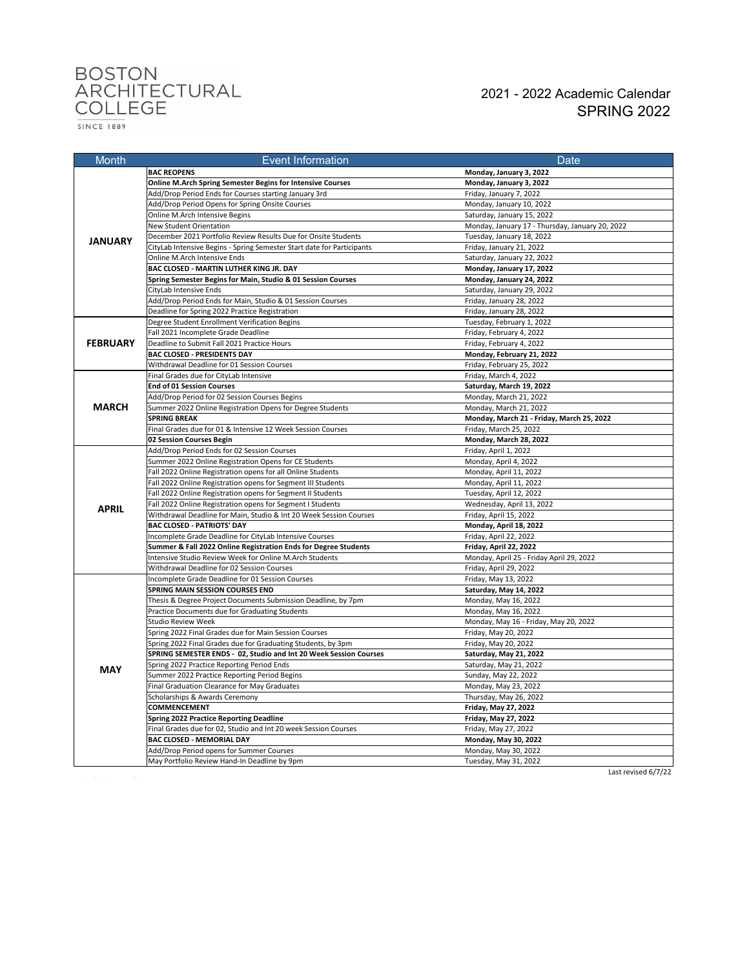# BOSTON<br>ARCHITECTURAL<br>COLLEGE

#### 2021 - 2022 Academic Calendar SPRING 2022

 $\frac{1}{SINCE 1889}$ 

| Month           | <b>Event Information</b>                                                                                   | Date                                            |
|-----------------|------------------------------------------------------------------------------------------------------------|-------------------------------------------------|
|                 | <b>BAC REOPENS</b>                                                                                         | Monday, January 3, 2022                         |
| <b>JANUARY</b>  | Online M.Arch Spring Semester Begins for Intensive Courses                                                 | Monday, January 3, 2022                         |
|                 | Add/Drop Period Ends for Courses starting January 3rd                                                      | Friday, January 7, 2022                         |
|                 | Add/Drop Period Opens for Spring Onsite Courses                                                            | Monday, January 10, 2022                        |
|                 | Online M.Arch Intensive Begins                                                                             | Saturday, January 15, 2022                      |
|                 | New Student Orientation                                                                                    | Monday, January 17 - Thursday, January 20, 2022 |
|                 | December 2021 Portfolio Review Results Due for Onsite Students                                             | Tuesday, January 18, 2022                       |
|                 | CityLab Intensive Begins - Spring Semester Start date for Participants                                     | Friday, January 21, 2022                        |
|                 | Online M.Arch Intensive Ends                                                                               | Saturday, January 22, 2022                      |
|                 | BAC CLOSED - MARTIN LUTHER KING JR. DAY                                                                    | Monday, January 17, 2022                        |
|                 | Spring Semester Begins for Main, Studio & 01 Session Courses                                               | Monday, January 24, 2022                        |
|                 | CityLab Intensive Ends                                                                                     | Saturday, January 29, 2022                      |
|                 | Add/Drop Period Ends for Main, Studio & 01 Session Courses                                                 | Friday, January 28, 2022                        |
|                 | Deadline for Spring 2022 Practice Registration                                                             | Friday, January 28, 2022                        |
|                 | Degree Student Enrollment Verification Begins                                                              | Tuesday, February 1, 2022                       |
|                 | Fall 2021 Incomplete Grade Deadline                                                                        | Friday, February 4, 2022                        |
| <b>FEBRUARY</b> | Deadline to Submit Fall 2021 Practice Hours                                                                | Friday, February 4, 2022                        |
|                 | BAC CLOSED - PRESIDENTS DAY                                                                                | Monday, February 21, 2022                       |
|                 | Withdrawal Deadline for 01 Session Courses                                                                 | Friday, February 25, 2022                       |
|                 | Final Grades due for CityLab Intensive                                                                     | Friday, March 4, 2022                           |
|                 | <b>End of 01 Session Courses</b>                                                                           | Saturday, March 19, 2022                        |
|                 | Add/Drop Period for 02 Session Courses Begins                                                              | Monday, March 21, 2022                          |
| <b>MARCH</b>    | Summer 2022 Online Registration Opens for Degree Students                                                  | Monday, March 21, 2022                          |
|                 | <b>SPRING BREAK</b>                                                                                        | Monday, March 21 - Friday, March 25, 2022       |
|                 | Final Grades due for 01 & Intensive 12 Week Session Courses                                                | Friday, March 25, 2022                          |
|                 | 02 Session Courses Begin                                                                                   | Monday, March 28, 2022                          |
|                 | Add/Drop Period Ends for 02 Session Courses                                                                | Friday, April 1, 2022                           |
|                 | Summer 2022 Online Registration Opens for CE Students                                                      | Monday, April 4, 2022                           |
|                 | Fall 2022 Online Registration opens for all Online Students                                                | Monday, April 11, 2022                          |
|                 | Fall 2022 Online Registration opens for Segment III Students                                               | Monday, April 11, 2022                          |
|                 | Fall 2022 Online Registration opens for Segment II Students                                                | Tuesday, April 12, 2022                         |
| <b>APRIL</b>    | Fall 2022 Online Registration opens for Segment I Students                                                 | Wednesday, April 13, 2022                       |
|                 | Withdrawal Deadline for Main, Studio & Int 20 Week Session Courses                                         | Friday, April 15, 2022                          |
|                 | <b>BAC CLOSED - PATRIOTS' DAY</b>                                                                          | Monday, April 18, 2022                          |
|                 | Incomplete Grade Deadline for CityLab Intensive Courses                                                    | Friday, April 22, 2022                          |
|                 | Summer & Fall 2022 Online Registration Ends for Degree Students                                            | Friday, April 22, 2022                          |
|                 | Intensive Studio Review Week for Online M.Arch Students                                                    | Monday, April 25 - Friday April 29, 2022        |
|                 | Withdrawal Deadline for 02 Session Courses                                                                 | Friday, April 29, 2022                          |
|                 | Incomplete Grade Deadline for 01 Session Courses                                                           | Friday, May 13, 2022                            |
|                 | SPRING MAIN SESSION COURSES END                                                                            | Saturday, May 14, 2022                          |
|                 | Thesis & Degree Project Documents Submission Deadline, by 7pm                                              | Monday, May 16, 2022                            |
|                 | Practice Documents due for Graduating Students                                                             | Monday, May 16, 2022                            |
|                 | <b>Studio Review Week</b>                                                                                  | Monday, May 16 - Friday, May 20, 2022           |
|                 | Spring 2022 Final Grades due for Main Session Courses                                                      | Friday, May 20, 2022                            |
|                 | Spring 2022 Final Grades due for Graduating Students, by 3pm                                               | Friday, May 20, 2022                            |
|                 | SPRING SEMESTER ENDS - 02, Studio and Int 20 Week Session Courses                                          | Saturday, May 21, 2022                          |
| <b>MAY</b>      | Spring 2022 Practice Reporting Period Ends<br>Summer 2022 Practice Reporting Period Begins                 | Saturday, May 21, 2022<br>Sunday, May 22, 2022  |
|                 | Final Graduation Clearance for May Graduates                                                               |                                                 |
|                 | Scholarships & Awards Ceremony                                                                             | Monday, May 23, 2022<br>Thursday, May 26, 2022  |
|                 | COMMENCEMENT                                                                                               | Friday, May 27, 2022                            |
|                 |                                                                                                            | Friday, May 27, 2022                            |
|                 | Spring 2022 Practice Reporting Deadline<br>Final Grades due for 02, Studio and Int 20 week Session Courses | Friday, May 27, 2022                            |
|                 | BAC CLOSED - MEMORIAL DAY                                                                                  | Monday, May 30, 2022                            |
|                 | Add/Drop Period opens for Summer Courses                                                                   | Monday, May 30, 2022                            |
|                 | May Portfolio Review Hand-In Deadline by 9pm                                                               | Tuesday, May 31, 2022                           |
|                 |                                                                                                            |                                                 |

 $\mathcal{L}^{\mathcal{L}}$  and  $\mathcal{L}^{\mathcal{L}}$  are the set of the set of  $\mathcal{L}^{\mathcal{L}}$ 

Last revised 6/7/22